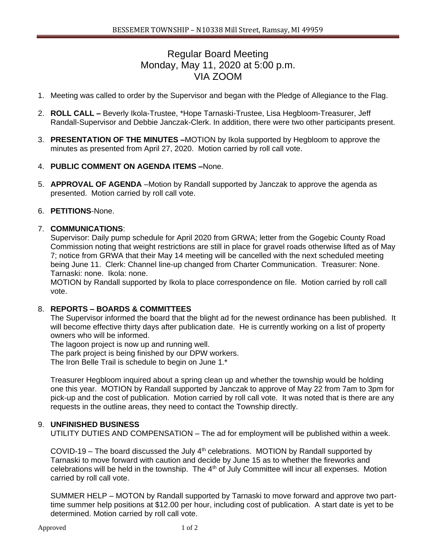# Regular Board Meeting Monday, May 11, 2020 at 5:00 p.m. VIA ZOOM

- 1. Meeting was called to order by the Supervisor and began with the Pledge of Allegiance to the Flag.
- 2. **ROLL CALL –** Beverly Ikola-Trustee, \*Hope Tarnaski-Trustee, Lisa Hegbloom-Treasurer, Jeff Randall-Supervisor and Debbie Janczak-Clerk. In addition, there were two other participants present.
- 3. **PRESENTATION OF THE MINUTES –**MOTION by Ikola supported by Hegbloom to approve the minutes as presented from April 27, 2020. Motion carried by roll call vote.

## 4. **PUBLIC COMMENT ON AGENDA ITEMS –**None.

5. **APPROVAL OF AGENDA** –Motion by Randall supported by Janczak to approve the agenda as presented. Motion carried by roll call vote.

## 6. **PETITIONS**-None.

## 7. **COMMUNICATIONS**:

Supervisor: Daily pump schedule for April 2020 from GRWA; letter from the Gogebic County Road Commission noting that weight restrictions are still in place for gravel roads otherwise lifted as of May 7; notice from GRWA that their May 14 meeting will be cancelled with the next scheduled meeting being June 11. Clerk: Channel line-up changed from Charter Communication. Treasurer: None. Tarnaski: none. Ikola: none.

MOTION by Randall supported by Ikola to place correspondence on file. Motion carried by roll call vote.

#### 8. **REPORTS – BOARDS & COMMITTEES**

The Supervisor informed the board that the blight ad for the newest ordinance has been published. It will become effective thirty days after publication date. He is currently working on a list of property owners who will be informed.

The lagoon project is now up and running well.

The park project is being finished by our DPW workers.

The Iron Belle Trail is schedule to begin on June 1.\*

Treasurer Hegbloom inquired about a spring clean up and whether the township would be holding one this year. MOTION by Randall supported by Janczak to approve of May 22 from 7am to 3pm for pick-up and the cost of publication. Motion carried by roll call vote. It was noted that is there are any requests in the outline areas, they need to contact the Township directly.

#### 9. **UNFINISHED BUSINESS**

UTILITY DUTIES AND COMPENSATION – The ad for employment will be published within a week.

COVID-19 – The board discussed the July  $4<sup>th</sup>$  celebrations. MOTION by Randall supported by Tarnaski to move forward with caution and decide by June 15 as to whether the fireworks and celebrations will be held in the township. The  $4<sup>th</sup>$  of July Committee will incur all expenses. Motion carried by roll call vote.

SUMMER HELP – MOTON by Randall supported by Tarnaski to move forward and approve two parttime summer help positions at \$12.00 per hour, including cost of publication. A start date is yet to be determined. Motion carried by roll call vote.